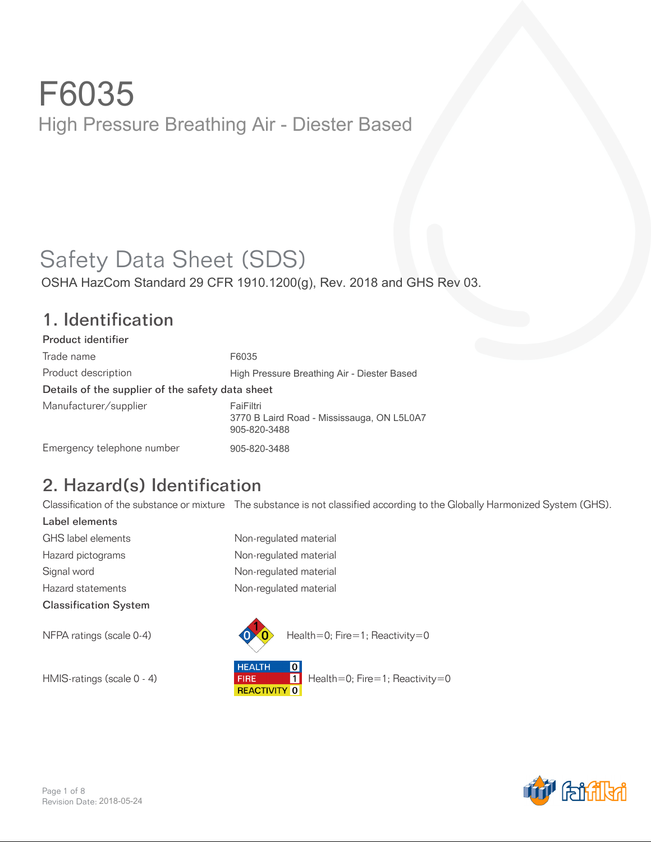## Safety Data Sheet (SDS)

OSHA HazCom Standard 29 CFR 1910.1200(g), Rev. 2018 and GHS Rev 03.

#### 1. Identification

Product identifier Trade name Product description Details of the supplier of the safety data sheet Manufacturer/supplier Emergency telephone number *F6035 High Pressure Breathing Air - Diester Based FaiFiltri 3770 B Laird Road - Mississauga, ON L5L0A7 905-820-3488 905-820-3488*

## 2. Hazard(s) Identification

Classification of the substance or mixture The substance is not classified according to the Globally Harmonized System (GHS).

Label elements GHS label elements Non-regulated material Hazard pictograms **Non-regulated material** Signal word **Non-regulated material** Hazard statements **Non-regulated material** Classification System





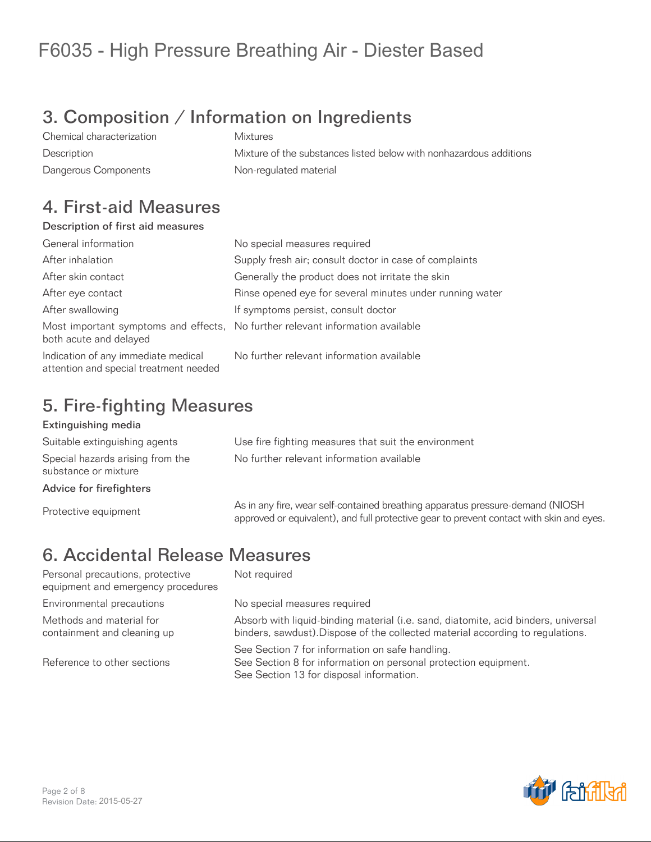## 3. Composition / Information on Ingredients

Chemical characterization Mixtures Description Mixture of the substances listed below with nonhazardous additions Dangerous Components **Non-regulated material** 

#### 4. First-aid Measures

#### Description of first aid measures

| General information                                                           | No special measures required                                                   |
|-------------------------------------------------------------------------------|--------------------------------------------------------------------------------|
| After inhalation                                                              | Supply fresh air; consult doctor in case of complaints                         |
| After skin contact                                                            | Generally the product does not irritate the skin                               |
| After eye contact                                                             | Rinse opened eye for several minutes under running water                       |
| After swallowing                                                              | If symptoms persist, consult doctor                                            |
| both acute and delayed                                                        | Most important symptoms and effects, No further relevant information available |
| Indication of any immediate medical<br>attention and special treatment needed | No further relevant information available                                      |

### 5. Fire-fighting Measures

#### Extinguishing media

Suitable extinguishing agents Use fire fighting measures that suit the environment Special hazards arising from the substance or mixture

Advice for firefighters

No further relevant information available

As in any fire, wear self-contained breathing apparatus pressure-demand (NIOSH)<br>Contained by a sure-demand and subsetive application asset apparatus pressure technicle also and a approved or equivalent), and full protective gear to prevent contact with skin and eyes.

## 6. Accidental Release Measures

Personal precautions, protective equipment and emergency procedures Environmental precautions entity No special measures required Methods and material for containment and cleaning up

Reference to other sections

Not required

Absorb with liquid-binding material (i.e. sand, diatomite, acid binders, universal binders, sawdust).Dispose of the collected material according to regulations.

See Section 7 for information on safe handling. See Section 8 for information on personal protection equipment. See Section 13 for disposal information.

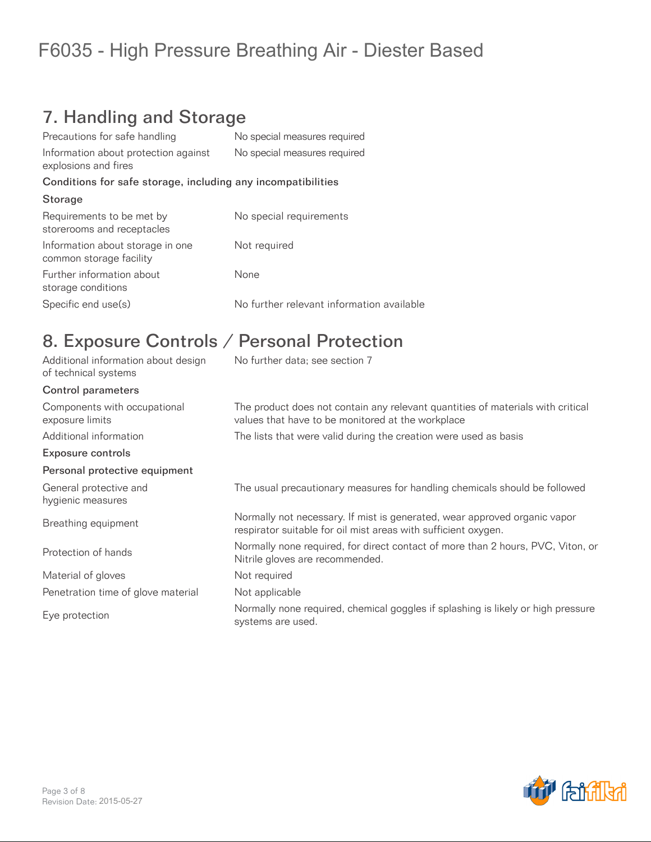## 7. Handling and Storage

| No special measures required                                 |
|--------------------------------------------------------------|
| No special measures required                                 |
| Conditions for safe storage, including any incompatibilities |
|                                                              |
| No special requirements                                      |
| Not required                                                 |
| None                                                         |
| No further relevant information available                    |
|                                                              |

### 8. Exposure Controls / Personal Protection

| Additional information about design<br>of technical systems | No further data; see section 7                                                                                                              |
|-------------------------------------------------------------|---------------------------------------------------------------------------------------------------------------------------------------------|
| <b>Control parameters</b>                                   |                                                                                                                                             |
| Components with occupational<br>exposure limits             | The product does not contain any relevant quantities of materials with critical<br>values that have to be monitored at the workplace        |
| Additional information                                      | The lists that were valid during the creation were used as basis                                                                            |
| <b>Exposure controls</b>                                    |                                                                                                                                             |
| Personal protective equipment                               |                                                                                                                                             |
| General protective and<br>hygienic measures                 | The usual precautionary measures for handling chemicals should be followed                                                                  |
| Breathing equipment                                         | Normally not necessary. If mist is generated, wear approved organic vapor<br>respirator suitable for oil mist areas with sufficient oxygen. |
| Protection of hands                                         | Normally none required, for direct contact of more than 2 hours, PVC, Viton, or<br>Nitrile gloves are recommended.                          |
| Material of gloves                                          | Not required                                                                                                                                |
| Penetration time of glove material                          | Not applicable                                                                                                                              |
| Eye protection                                              | Normally none required, chemical goggles if splashing is likely or high pressure<br>systems are used.                                       |

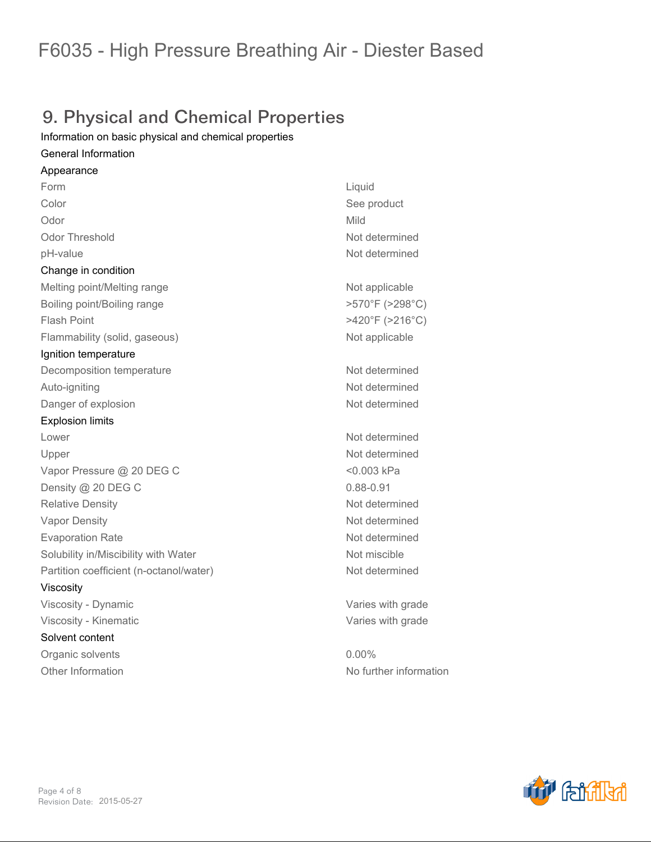### 9. Physical and Chemical Properties

*Information on basic physical and chemical properties*

#### *General Information*

*Appearance Form Liquid Color See product Odor Mild Odor Threshold Not determined pH-value Not determined Change in condition* **Melting point/Melting range <b>Not applicable Not applicable** *Boiling point/Boiling range >570°F (>298°C) Flash Point >420°F (>216°C) Flammability (solid, gaseous) Not applicable Ignition temperature Decomposition temperature Not determined Auto-igniting Not determined* **Danger of explosion** *Not determined Explosion limits Lower Not determined Upper Not determined Vapor Pressure @ 20 DEG C <0.003 kPa Density @ 20 DEG C 0.88-0.91 Relative Density Not determined Vapor Density Not determined Evaporation Rate Not determined Solubility in/Miscibility with Water Not miscible Partition coefficient (n-octanol/water) Not determined Viscosity Viscosity - Dynamic Varies with grade Viscosity - Kinematic Varies with grade Solvent content Organic solvents 0.00% Other Information No further information*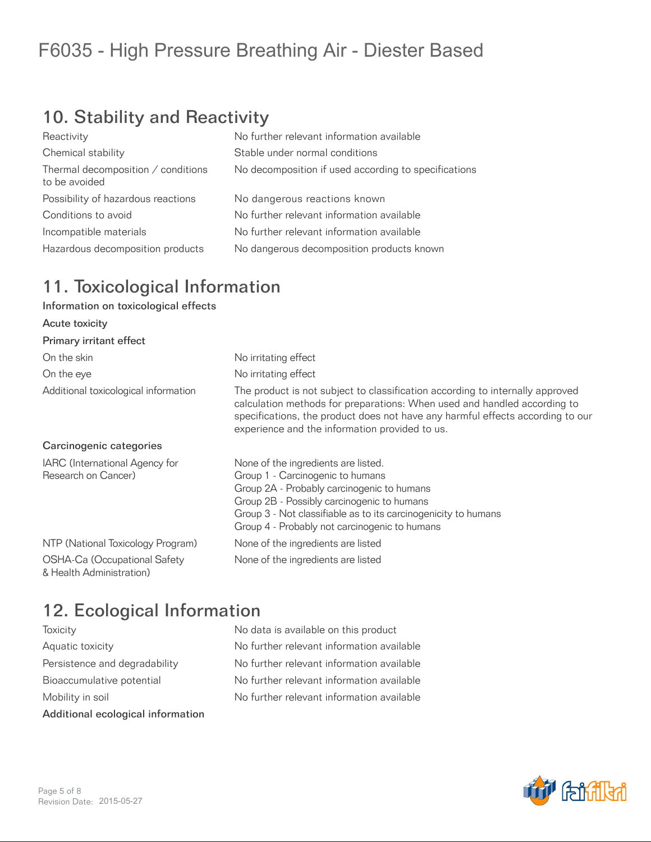## 10. Stability and Reactivity

| Reactivity                                          | No further relevant information available            |
|-----------------------------------------------------|------------------------------------------------------|
| Chemical stability                                  | Stable under normal conditions                       |
| Thermal decomposition / conditions<br>to be avoided | No decomposition if used according to specifications |
| Possibility of hazardous reactions                  | No dangerous reactions known                         |
| Conditions to avoid                                 | No further relevant information available            |
| Incompatible materials                              | No further relevant information available            |
| Hazardous decomposition products                    | No dangerous decomposition products known            |
|                                                     |                                                      |

### 11. Toxicological Information

#### Information on toxicological effects

| Acute toxicity                                           |                                                                                                                                                                                                                                                                                               |
|----------------------------------------------------------|-----------------------------------------------------------------------------------------------------------------------------------------------------------------------------------------------------------------------------------------------------------------------------------------------|
| Primary irritant effect                                  |                                                                                                                                                                                                                                                                                               |
| On the skin                                              | No irritating effect                                                                                                                                                                                                                                                                          |
| On the eye                                               | No irritating effect                                                                                                                                                                                                                                                                          |
| Additional toxicological information                     | The product is not subject to classification according to internally approved<br>calculation methods for preparations: When used and handled according to<br>specifications, the product does not have any harmful effects according to our<br>experience and the information provided to us. |
| Carcinogenic categories                                  |                                                                                                                                                                                                                                                                                               |
| IARC (International Agency for<br>Research on Cancer)    | None of the ingredients are listed.<br>Group 1 - Carcinogenic to humans<br>Group 2A - Probably carcinogenic to humans<br>Group 2B - Possibly carcinogenic to humans<br>Group 3 - Not classifiable as to its carcinogenicity to humans<br>Group 4 - Probably not carcinogenic to humans        |
| NTP (National Toxicology Program)                        | None of the ingredients are listed                                                                                                                                                                                                                                                            |
| OSHA-Ca (Occupational Safety<br>& Health Administration) | None of the ingredients are listed                                                                                                                                                                                                                                                            |

### 12. Ecological Information

| <b>loxicity</b>                   |  |
|-----------------------------------|--|
| Aquatic toxicity                  |  |
| Persistence and degradability     |  |
| Bioaccumulative potential         |  |
| Mobility in soil                  |  |
| Additional ecological information |  |

No data is available on this product No further relevant information available No further relevant information available No further relevant information available No further relevant information available

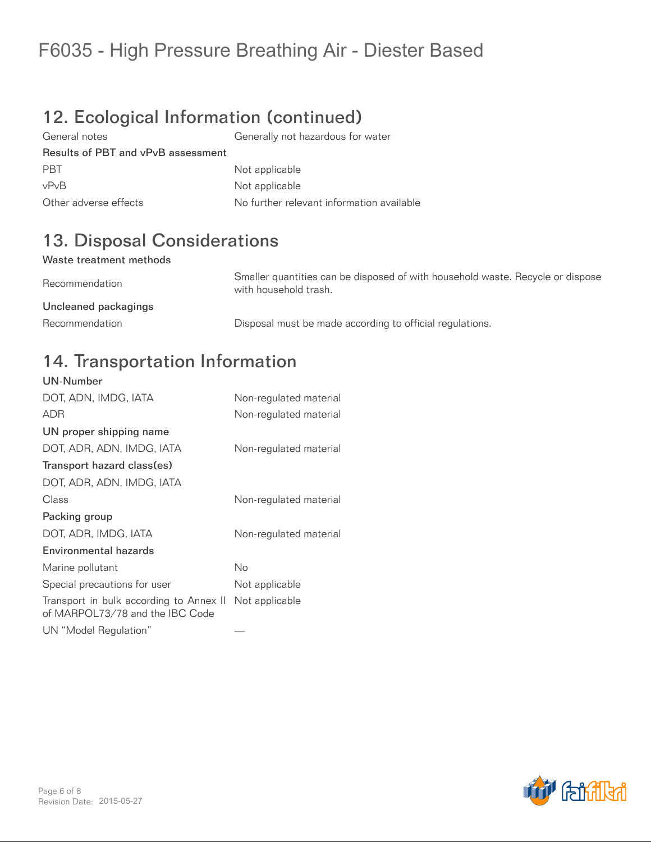## 12. Ecological Information (continued)

General notes Generally not hazardous for water Results of PBT and vPvB assessment PBT Not applicable vPvB Not applicable Other adverse effects No further relevant information available

## 13. Disposal Considerations

#### Waste treatment methods

Recommendation Smaller quantities can be disposed of with household waste. Recycle or dispose with household trash. Uncleaned packagings Recommendation **Disposal must be made according to official regulations.** 

#### 14. Transportation Information

| <b>UN-Number</b>                                                           |                        |
|----------------------------------------------------------------------------|------------------------|
| DOT, ADN, IMDG, IATA                                                       | Non-regulated material |
| <b>ADR</b>                                                                 | Non-regulated material |
| UN proper shipping name                                                    |                        |
| DOT, ADR, ADN, IMDG, IATA                                                  | Non-regulated material |
| Transport hazard class(es)                                                 |                        |
| DOT, ADR, ADN, IMDG, IATA                                                  |                        |
| Class                                                                      | Non-regulated material |
| Packing group                                                              |                        |
| DOT, ADR, IMDG, IATA                                                       | Non-regulated material |
| Environmental hazards                                                      |                        |
| Marine pollutant                                                           | No                     |
| Special precautions for user                                               | Not applicable         |
| Transport in bulk according to Annex II<br>of MARPOL73/78 and the IBC Code | Not applicable         |
| UN "Model Regulation"                                                      |                        |

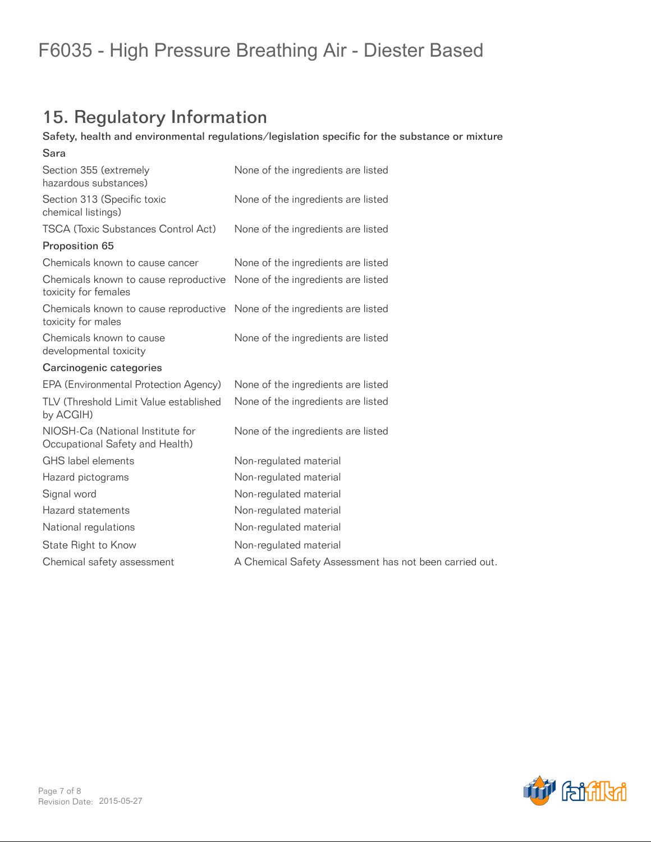## 15. Regulatory Information

#### Safety, health and environmental regulations/legislation specific for the substance or mixture

| Sara                                                                                           |                                                        |
|------------------------------------------------------------------------------------------------|--------------------------------------------------------|
| Section 355 (extremely<br>hazardous substances)                                                | None of the ingredients are listed                     |
| Section 313 (Specific toxic<br>chemical listings)                                              | None of the ingredients are listed                     |
| <b>TSCA (Toxic Substances Control Act)</b>                                                     | None of the ingredients are listed                     |
| Proposition 65                                                                                 |                                                        |
| Chemicals known to cause cancer                                                                | None of the ingredients are listed                     |
| Chemicals known to cause reproductive<br>toxicity for females                                  | None of the ingredients are listed                     |
| Chemicals known to cause reproductive None of the ingredients are listed<br>toxicity for males |                                                        |
| Chemicals known to cause<br>developmental toxicity                                             | None of the ingredients are listed                     |
| Carcinogenic categories                                                                        |                                                        |
| EPA (Environmental Protection Agency)                                                          | None of the ingredients are listed                     |
| TLV (Threshold Limit Value established<br>by ACGIH)                                            | None of the ingredients are listed                     |
| NIOSH-Ca (National Institute for<br>Occupational Safety and Health)                            | None of the ingredients are listed                     |
| GHS label elements                                                                             | Non-regulated material                                 |
| Hazard pictograms                                                                              | Non-regulated material                                 |
| Signal word                                                                                    | Non-regulated material                                 |
| Hazard statements                                                                              | Non-regulated material                                 |
| National regulations                                                                           | Non-regulated material                                 |
| State Right to Know                                                                            | Non-regulated material                                 |
| Chemical safety assessment                                                                     | A Chemical Safety Assessment has not been carried out. |
|                                                                                                |                                                        |